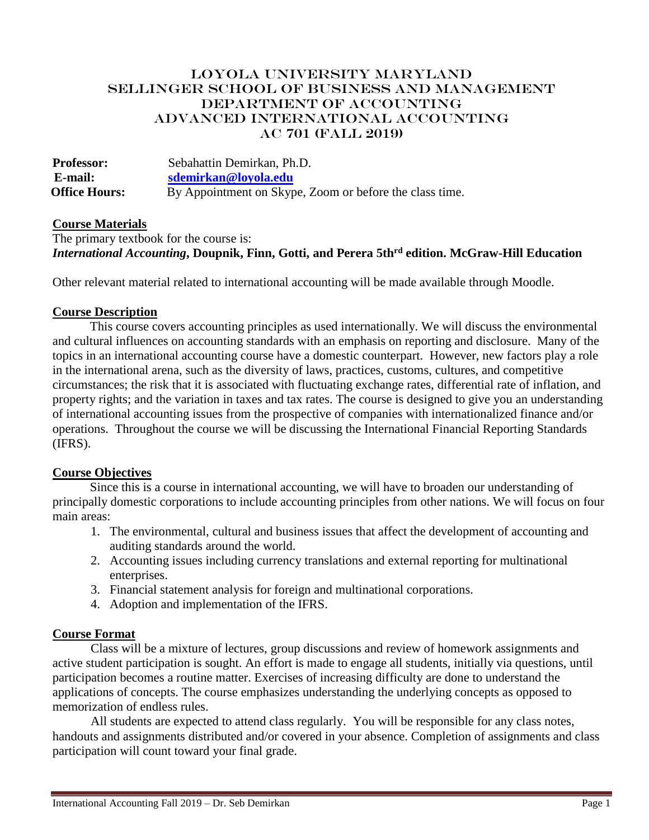# LOYOLA UNIVERSITY MARYLAND SELLINGER SCHOOL OF BUSINESS AND MANAGEMENT DEPARTMENT OF ACCOUNTING ADVANCED INTERNATIONAL ACCOUNTING AC 701 (Fall 2019)

**Professor:** Sebahattin Demirkan, Ph.D.  **E-mail: [sdemirkan@loyola.edu](mailto:sdemirkan@loyola.edu) Office Hours:** By Appointment on Skype, Zoom or before the class time.

### **Course Materials**

The primary textbook for the course is: *International Accounting***, Doupnik, Finn, Gotti, and Perera 5thrd edition. McGraw-Hill Education**

Other relevant material related to international accounting will be made available through Moodle.

#### **Course Description**

This course covers accounting principles as used internationally. We will discuss the environmental and cultural influences on accounting standards with an emphasis on reporting and disclosure. Many of the topics in an international accounting course have a domestic counterpart. However, new factors play a role in the international arena, such as the diversity of laws, practices, customs, cultures, and competitive circumstances; the risk that it is associated with fluctuating exchange rates, differential rate of inflation, and property rights; and the variation in taxes and tax rates. The course is designed to give you an understanding of international accounting issues from the prospective of companies with internationalized finance and/or operations. Throughout the course we will be discussing the International Financial Reporting Standards (IFRS).

#### **Course Objectives**

Since this is a course in international accounting, we will have to broaden our understanding of principally domestic corporations to include accounting principles from other nations. We will focus on four main areas:

- 1. The environmental, cultural and business issues that affect the development of accounting and auditing standards around the world.
- 2. Accounting issues including currency translations and external reporting for multinational enterprises.
- 3. Financial statement analysis for foreign and multinational corporations.
- 4. Adoption and implementation of the IFRS.

# **Course Format**

Class will be a mixture of lectures, group discussions and review of homework assignments and active student participation is sought. An effort is made to engage all students, initially via questions, until participation becomes a routine matter. Exercises of increasing difficulty are done to understand the applications of concepts. The course emphasizes understanding the underlying concepts as opposed to memorization of endless rules.

All students are expected to attend class regularly. You will be responsible for any class notes, handouts and assignments distributed and/or covered in your absence. Completion of assignments and class participation will count toward your final grade.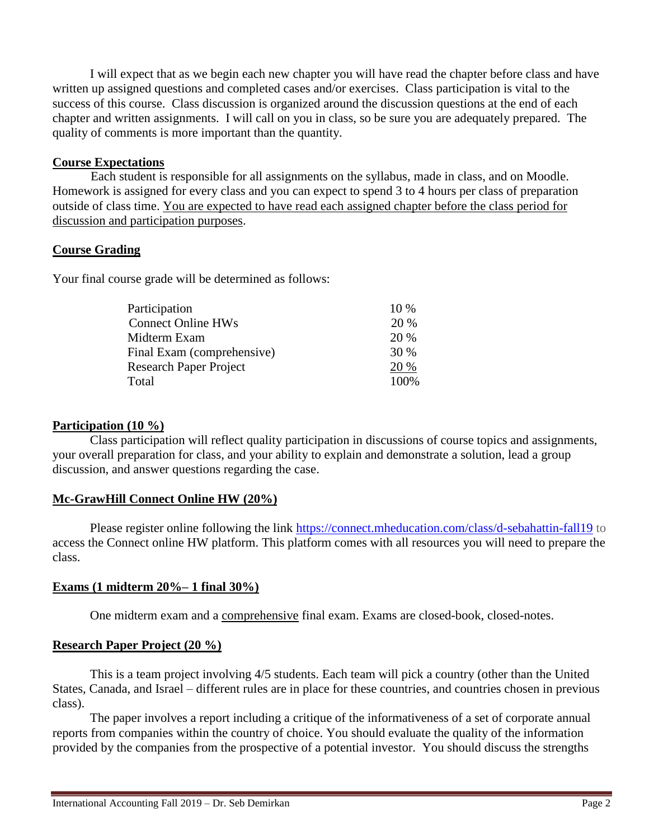I will expect that as we begin each new chapter you will have read the chapter before class and have written up assigned questions and completed cases and/or exercises. Class participation is vital to the success of this course. Class discussion is organized around the discussion questions at the end of each chapter and written assignments. I will call on you in class, so be sure you are adequately prepared. The quality of comments is more important than the quantity.

### **Course Expectations**

Each student is responsible for all assignments on the syllabus, made in class, and on Moodle. Homework is assigned for every class and you can expect to spend 3 to 4 hours per class of preparation outside of class time. You are expected to have read each assigned chapter before the class period for discussion and participation purposes.

# **Course Grading**

Your final course grade will be determined as follows:

| Participation                 | $10\%$ |
|-------------------------------|--------|
| <b>Connect Online HWs</b>     | 20 %   |
| Midterm Exam                  | 20 %   |
| Final Exam (comprehensive)    | 30 %   |
| <b>Research Paper Project</b> | 20 %   |
| Total                         | 100\%  |

## **Participation (10 %)**

Class participation will reflect quality participation in discussions of course topics and assignments, your overall preparation for class, and your ability to explain and demonstrate a solution, lead a group discussion, and answer questions regarding the case.

# **Mc-GrawHill Connect Online HW (20%)**

Please register online following the link<https://connect.mheducation.com/class/d-sebahattin-fall19> to access the Connect online HW platform. This platform comes with all resources you will need to prepare the class.

# **Exams (1 midterm 20%– 1 final 30%)**

One midterm exam and a comprehensive final exam. Exams are closed-book, closed-notes.

# **Research Paper Project (20 %)**

This is a team project involving 4/5 students. Each team will pick a country (other than the United States, Canada, and Israel – different rules are in place for these countries, and countries chosen in previous class).

The paper involves a report including a critique of the informativeness of a set of corporate annual reports from companies within the country of choice. You should evaluate the quality of the information provided by the companies from the prospective of a potential investor. You should discuss the strengths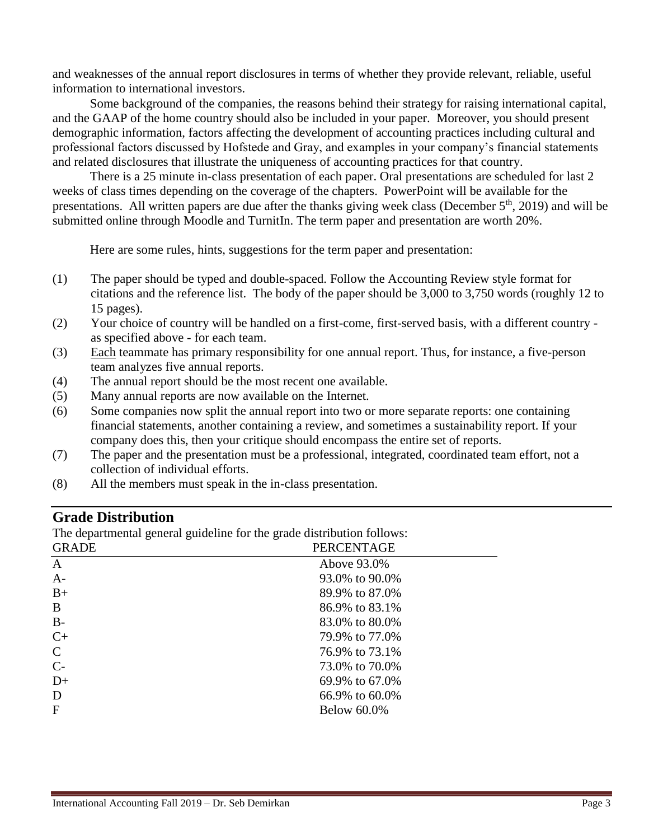and weaknesses of the annual report disclosures in terms of whether they provide relevant, reliable, useful information to international investors.

Some background of the companies, the reasons behind their strategy for raising international capital, and the GAAP of the home country should also be included in your paper. Moreover, you should present demographic information, factors affecting the development of accounting practices including cultural and professional factors discussed by Hofstede and Gray, and examples in your company's financial statements and related disclosures that illustrate the uniqueness of accounting practices for that country.

There is a 25 minute in-class presentation of each paper. Oral presentations are scheduled for last 2 weeks of class times depending on the coverage of the chapters. PowerPoint will be available for the presentations. All written papers are due after the thanks giving week class (December 5th, 2019) and will be submitted online through Moodle and TurnitIn. The term paper and presentation are worth 20%.

Here are some rules, hints, suggestions for the term paper and presentation:

- (1) The paper should be typed and double-spaced. Follow the Accounting Review style format for citations and the reference list. The body of the paper should be 3,000 to 3,750 words (roughly 12 to 15 pages).
- (2) Your choice of country will be handled on a first-come, first-served basis, with a different country as specified above - for each team.
- (3) Each teammate has primary responsibility for one annual report. Thus, for instance, a five-person team analyzes five annual reports.
- (4) The annual report should be the most recent one available.
- (5) Many annual reports are now available on the Internet.
- (6) Some companies now split the annual report into two or more separate reports: one containing financial statements, another containing a review, and sometimes a sustainability report. If your company does this, then your critique should encompass the entire set of reports.
- (7) The paper and the presentation must be a professional, integrated, coordinated team effort, not a collection of individual efforts.
- (8) All the members must speak in the in-class presentation.

# **Grade Distribution**

The departmental general guideline for the grade distribution follows:

| <b>GRADE</b> | <b>PERCENTAGE</b>  |  |
|--------------|--------------------|--|
| $\mathbf{A}$ | Above 93.0%        |  |
| $A-$         | 93.0% to 90.0%     |  |
| $B+$         | 89.9% to 87.0%     |  |
| B            | 86.9% to 83.1%     |  |
| $B -$        | 83.0% to 80.0%     |  |
| $C+$         | 79.9% to 77.0%     |  |
| $\mathsf{C}$ | 76.9% to 73.1%     |  |
| $C-$         | 73.0% to 70.0%     |  |
| $D+$         | 69.9% to 67.0%     |  |
| D            | 66.9% to 60.0%     |  |
| $\mathbf{F}$ | <b>Below 60.0%</b> |  |
|              |                    |  |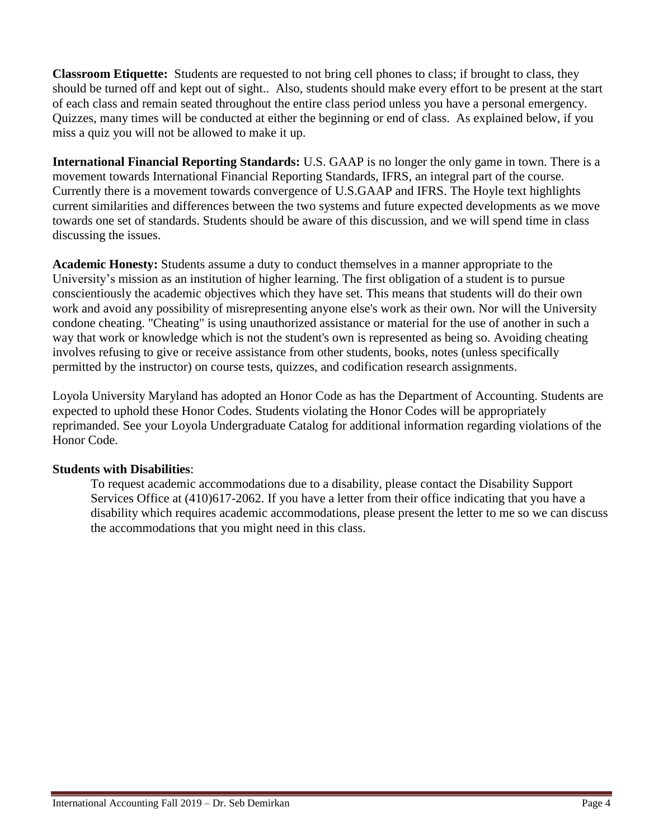**Classroom Etiquette:** Students are requested to not bring cell phones to class; if brought to class, they should be turned off and kept out of sight.. Also, students should make every effort to be present at the start of each class and remain seated throughout the entire class period unless you have a personal emergency. Quizzes, many times will be conducted at either the beginning or end of class. As explained below, if you miss a quiz you will not be allowed to make it up.

**International Financial Reporting Standards:** U.S. GAAP is no longer the only game in town. There is a movement towards International Financial Reporting Standards, IFRS, an integral part of the course. Currently there is a movement towards convergence of U.S.GAAP and IFRS. The Hoyle text highlights current similarities and differences between the two systems and future expected developments as we move towards one set of standards. Students should be aware of this discussion, and we will spend time in class discussing the issues.

**Academic Honesty:** Students assume a duty to conduct themselves in a manner appropriate to the University's mission as an institution of higher learning. The first obligation of a student is to pursue conscientiously the academic objectives which they have set. This means that students will do their own work and avoid any possibility of misrepresenting anyone else's work as their own. Nor will the University condone cheating. "Cheating" is using unauthorized assistance or material for the use of another in such a way that work or knowledge which is not the student's own is represented as being so. Avoiding cheating involves refusing to give or receive assistance from other students, books, notes (unless specifically permitted by the instructor) on course tests, quizzes, and codification research assignments.

Loyola University Maryland has adopted an Honor Code as has the Department of Accounting. Students are expected to uphold these Honor Codes. Students violating the Honor Codes will be appropriately reprimanded. See your Loyola Undergraduate Catalog for additional information regarding violations of the Honor Code.

# **Students with Disabilities**:

To request academic accommodations due to a disability, please contact the Disability Support Services Office at (410)617-2062. If you have a letter from their office indicating that you have a disability which requires academic accommodations, please present the letter to me so we can discuss the accommodations that you might need in this class.